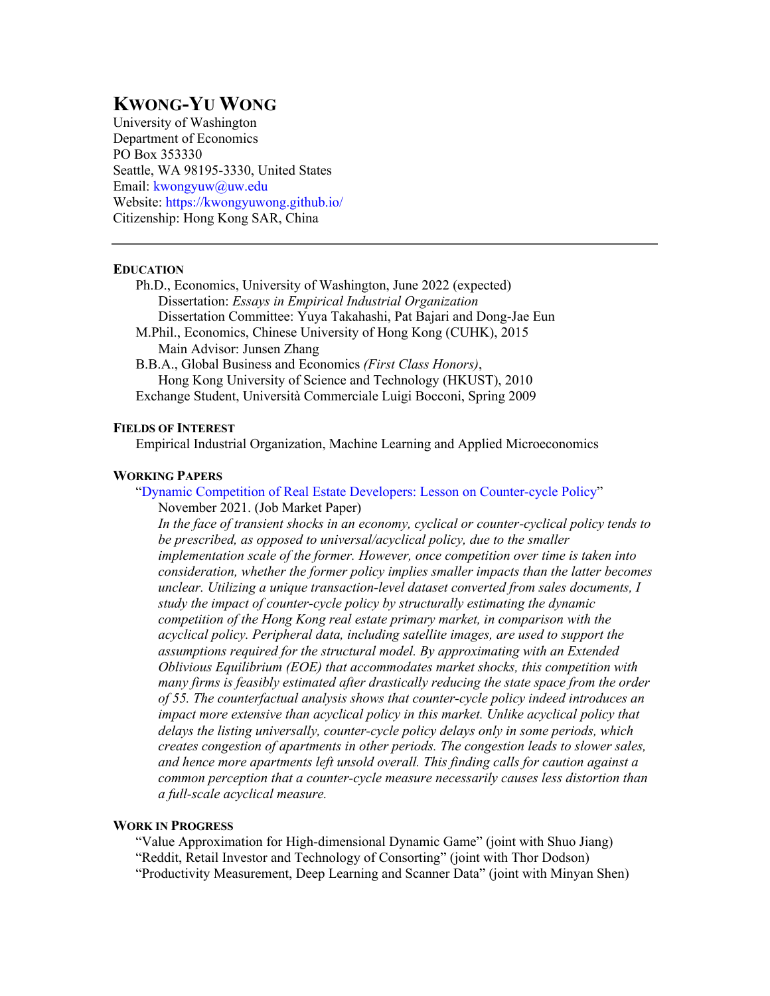# **KWONG-YU WONG**

University of Washington Department of Economics PO Box 353330 Seattle, WA 98195-3330, United States Email: kwongyuw@uw.edu Website: https://kwongyuwong.github.io/ Citizenship: Hong Kong SAR, China

## **EDUCATION**

- Ph.D., Economics, University of Washington, June 2022 (expected) Dissertation: *Essays in Empirical Industrial Organization* Dissertation Committee: Yuya Takahashi, Pat Bajari and Dong-Jae Eun M.Phil., Economics, Chinese University of Hong Kong (CUHK), 2015
- Main Advisor: Junsen Zhang B.B.A., Global Business and Economics *(First Class Honors)*,

Hong Kong University of Science and Technology (HKUST), 2010 Exchange Student, Università Commerciale Luigi Bocconi, Spring 2009

# **FIELDS OF INTEREST**

Empirical Industrial Organization, Machine Learning and Applied Microeconomics

# **WORKING PAPERS**

"Dynamic Competition of Real Estate Developers: Lesson on Counter-cycle Policy" November 2021. (Job Market Paper)

*In the face of transient shocks in an economy, cyclical or counter-cyclical policy tends to be prescribed, as opposed to universal/acyclical policy, due to the smaller implementation scale of the former. However, once competition over time is taken into consideration, whether the former policy implies smaller impacts than the latter becomes unclear. Utilizing a unique transaction-level dataset converted from sales documents, I study the impact of counter-cycle policy by structurally estimating the dynamic competition of the Hong Kong real estate primary market, in comparison with the acyclical policy. Peripheral data, including satellite images, are used to support the assumptions required for the structural model. By approximating with an Extended Oblivious Equilibrium (EOE) that accommodates market shocks, this competition with many firms is feasibly estimated after drastically reducing the state space from the order of 55. The counterfactual analysis shows that counter-cycle policy indeed introduces an impact more extensive than acyclical policy in this market. Unlike acyclical policy that delays the listing universally, counter-cycle policy delays only in some periods, which creates congestion of apartments in other periods. The congestion leads to slower sales, and hence more apartments left unsold overall. This finding calls for caution against a common perception that a counter-cycle measure necessarily causes less distortion than a full-scale acyclical measure.*

## **WORK IN PROGRESS**

"Value Approximation for High-dimensional Dynamic Game" (joint with Shuo Jiang) "Reddit, Retail Investor and Technology of Consorting" (joint with Thor Dodson) "Productivity Measurement, Deep Learning and Scanner Data" (joint with Minyan Shen)